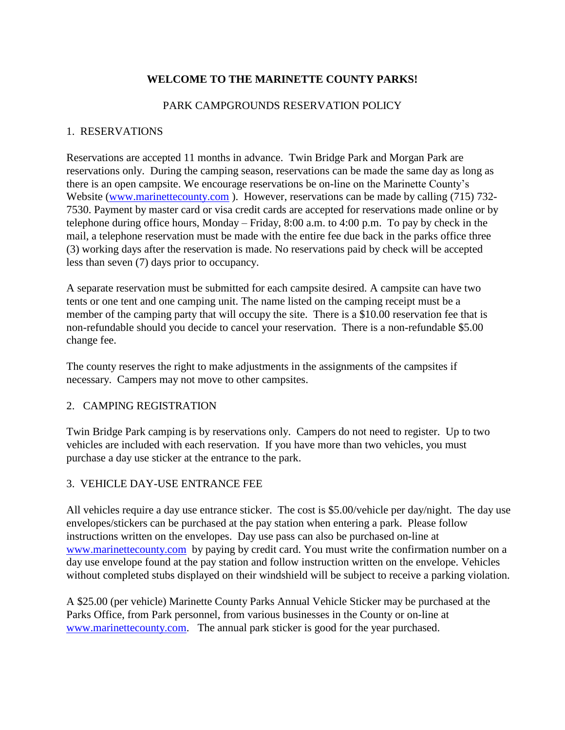# **WELCOME TO THE MARINETTE COUNTY PARKS!**

## PARK CAMPGROUNDS RESERVATION POLICY

## 1. RESERVATIONS

Reservations are accepted 11 months in advance. Twin Bridge Park and Morgan Park are reservations only. During the camping season, reservations can be made the same day as long as there is an open campsite. We encourage reservations be on-line on the Marinette County's Website [\(www.marinettecounty.com](http://www.marinettecounty.com/)). However, reservations can be made by calling (715) 732-7530. Payment by master card or visa credit cards are accepted for reservations made online or by telephone during office hours, Monday – Friday, 8:00 a.m. to 4:00 p.m. To pay by check in the mail, a telephone reservation must be made with the entire fee due back in the parks office three (3) working days after the reservation is made. No reservations paid by check will be accepted less than seven (7) days prior to occupancy.

A separate reservation must be submitted for each campsite desired. A campsite can have two tents or one tent and one camping unit. The name listed on the camping receipt must be a member of the camping party that will occupy the site. There is a \$10.00 reservation fee that is non-refundable should you decide to cancel your reservation. There is a non-refundable \$5.00 change fee.

The county reserves the right to make adjustments in the assignments of the campsites if necessary. Campers may not move to other campsites.

### 2. CAMPING REGISTRATION

Twin Bridge Park camping is by reservations only. Campers do not need to register. Up to two vehicles are included with each reservation. If you have more than two vehicles, you must purchase a day use sticker at the entrance to the park.

# 3. VEHICLE DAY-USE ENTRANCE FEE

All vehicles require a day use entrance sticker. The cost is \$5.00/vehicle per day/night. The day use envelopes/stickers can be purchased at the pay station when entering a park. Please follow instructions written on the envelopes. Day use pass can also be purchased on-line at [www.marinettecounty.com](http://www.marinettecounty.com/) by paying by credit card. You must write the confirmation number on a day use envelope found at the pay station and follow instruction written on the envelope. Vehicles without completed stubs displayed on their windshield will be subject to receive a parking violation.

A \$25.00 (per vehicle) Marinette County Parks Annual Vehicle Sticker may be purchased at the Parks Office, from Park personnel, from various businesses in the County or on-line at [www.marinettecounty.com.](http://www.marinettecounty.com/) The annual park sticker is good for the year purchased.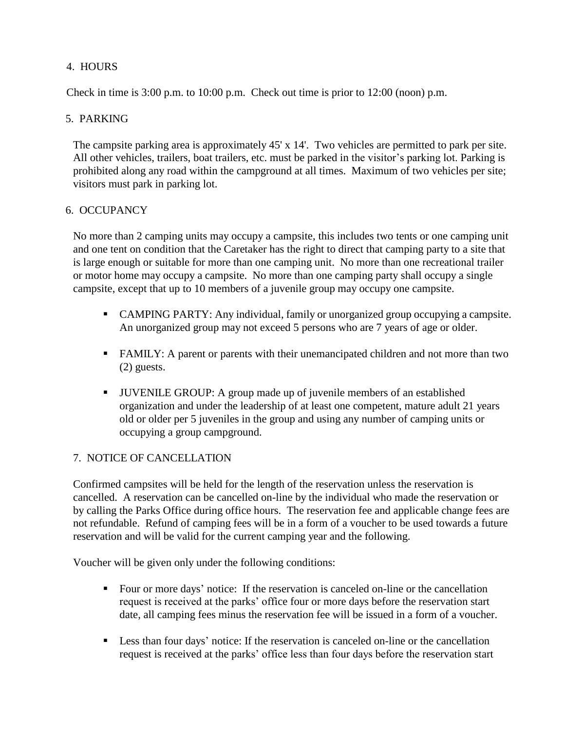# 4. HOURS

Check in time is 3:00 p.m. to 10:00 p.m. Check out time is prior to 12:00 (noon) p.m.

## 5. PARKING

The campsite parking area is approximately 45' x 14'. Two vehicles are permitted to park per site. All other vehicles, trailers, boat trailers, etc. must be parked in the visitor's parking lot. Parking is prohibited along any road within the campground at all times. Maximum of two vehicles per site; visitors must park in parking lot.

### 6. OCCUPANCY

No more than 2 camping units may occupy a campsite, this includes two tents or one camping unit and one tent on condition that the Caretaker has the right to direct that camping party to a site that is large enough or suitable for more than one camping unit. No more than one recreational trailer or motor home may occupy a campsite. No more than one camping party shall occupy a single campsite, except that up to 10 members of a juvenile group may occupy one campsite.

- CAMPING PARTY: Any individual, family or unorganized group occupying a campsite. An unorganized group may not exceed 5 persons who are 7 years of age or older.
- FAMILY: A parent or parents with their unemancipated children and not more than two (2) guests.
- JUVENILE GROUP: A group made up of juvenile members of an established organization and under the leadership of at least one competent, mature adult 21 years old or older per 5 juveniles in the group and using any number of camping units or occupying a group campground.

# 7. NOTICE OF CANCELLATION

Confirmed campsites will be held for the length of the reservation unless the reservation is cancelled. A reservation can be cancelled on-line by the individual who made the reservation or by calling the Parks Office during office hours. The reservation fee and applicable change fees are not refundable. Refund of camping fees will be in a form of a voucher to be used towards a future reservation and will be valid for the current camping year and the following.

Voucher will be given only under the following conditions:

- Four or more days' notice: If the reservation is canceled on-line or the cancellation request is received at the parks' office four or more days before the reservation start date, all camping fees minus the reservation fee will be issued in a form of a voucher.
- **Less than four days' notice:** If the reservation is canceled on-line or the cancellation request is received at the parks' office less than four days before the reservation start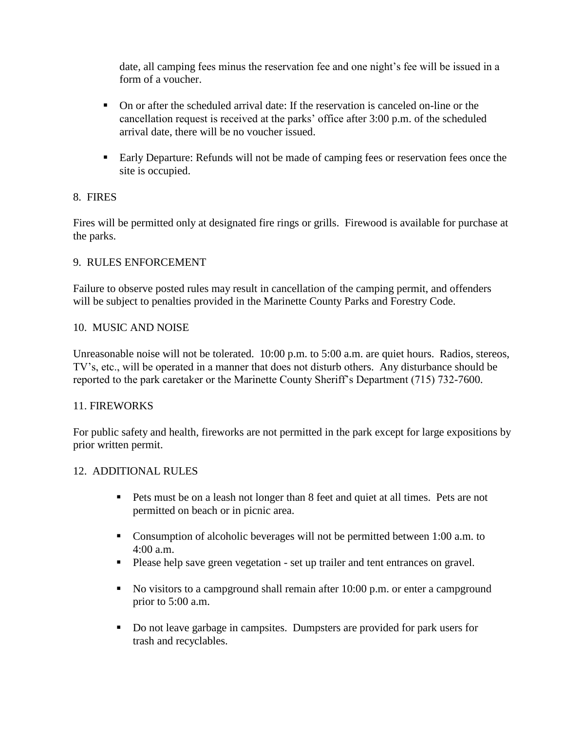date, all camping fees minus the reservation fee and one night's fee will be issued in a form of a voucher.

- On or after the scheduled arrival date: If the reservation is canceled on-line or the cancellation request is received at the parks' office after 3:00 p.m. of the scheduled arrival date, there will be no voucher issued.
- Early Departure: Refunds will not be made of camping fees or reservation fees once the site is occupied.

# 8. FIRES

Fires will be permitted only at designated fire rings or grills. Firewood is available for purchase at the parks.

# 9. RULES ENFORCEMENT

Failure to observe posted rules may result in cancellation of the camping permit, and offenders will be subject to penalties provided in the Marinette County Parks and Forestry Code.

# 10. MUSIC AND NOISE

Unreasonable noise will not be tolerated. 10:00 p.m. to 5:00 a.m. are quiet hours. Radios, stereos, TV's, etc., will be operated in a manner that does not disturb others. Any disturbance should be reported to the park caretaker or the Marinette County Sheriff's Department (715) 732-7600.

# 11. FIREWORKS

For public safety and health, fireworks are not permitted in the park except for large expositions by prior written permit.

# 12. ADDITIONAL RULES

- Pets must be on a leash not longer than 8 feet and quiet at all times. Pets are not permitted on beach or in picnic area.
- Consumption of alcoholic beverages will not be permitted between 1:00 a.m. to 4:00 a.m.
- Please help save green vegetation set up trailer and tent entrances on gravel.
- No visitors to a campground shall remain after  $10:00$  p.m. or enter a campground prior to 5:00 a.m.
- Do not leave garbage in campsites. Dumpsters are provided for park users for trash and recyclables.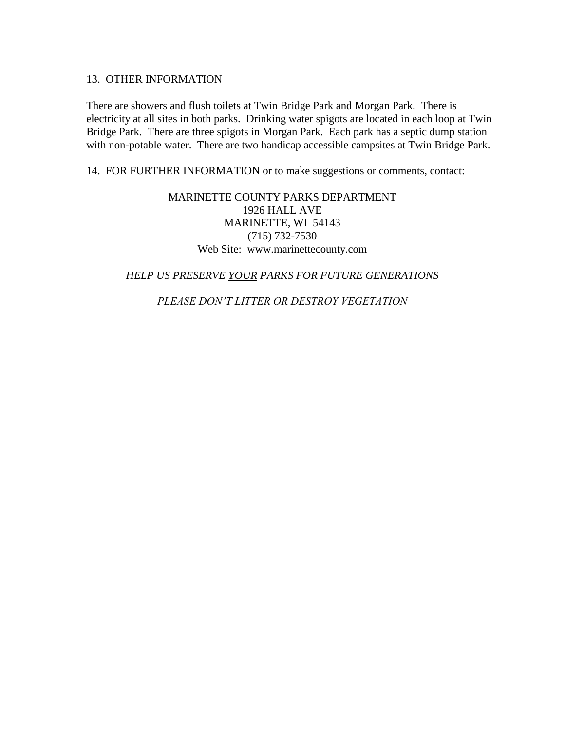#### 13. OTHER INFORMATION

There are showers and flush toilets at Twin Bridge Park and Morgan Park. There is electricity at all sites in both parks. Drinking water spigots are located in each loop at Twin Bridge Park. There are three spigots in Morgan Park. Each park has a septic dump station with non-potable water. There are two handicap accessible campsites at Twin Bridge Park.

14. FOR FURTHER INFORMATION or to make suggestions or comments, contact:

MARINETTE COUNTY PARKS DEPARTMENT 1926 HALL AVE MARINETTE, WI 54143 (715) 732-7530 Web Site: www.marinettecounty.com

### *HELP US PRESERVE YOUR PARKS FOR FUTURE GENERATIONS*

*PLEASE DON'T LITTER OR DESTROY VEGETATION*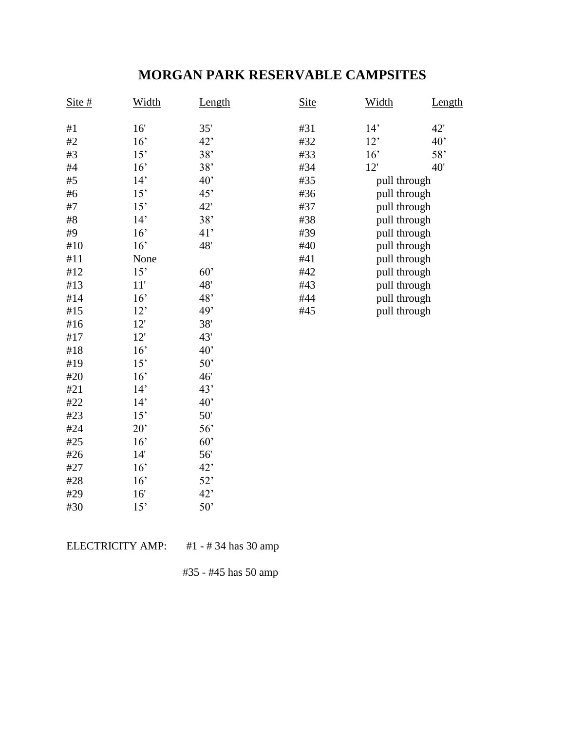# **MORGAN PARK RESERVABLE CAMPSITES**

| Site# | Width | Length | <b>Site</b> | Width        | Length |
|-------|-------|--------|-------------|--------------|--------|
| #1    | 16'   | 35'    | #31         | 14'          | 42'    |
| #2    | 16'   | 42'    | #32         | 12'          | 40'    |
| #3    | 15'   | 38'    | #33         | 16'          | 58'    |
| #4    | 16'   | 38'    | #34         | 12'          | 40'    |
| #5    | 14'   | 40'    | #35         | pull through |        |
| #6    | 15'   | 45'    | #36         | pull through |        |
| #7    | 15'   | 42'    | #37         | pull through |        |
| #8    | 14'   | 38'    | #38         | pull through |        |
| #9    | 16'   | 41'    | #39         | pull through |        |
| #10   | 16'   | 48'    | #40         | pull through |        |
| #11   | None  |        | #41         | pull through |        |
| #12   | 15'   | 60'    | #42         | pull through |        |
| #13   | 11'   | 48'    | #43         | pull through |        |
| #14   | 16'   | 48'    | #44         | pull through |        |
| #15   | 12'   | 49'    | #45         | pull through |        |
| #16   | 12'   | 38'    |             |              |        |
| #17   | 12'   | 43'    |             |              |        |
| #18   | 16'   | 40'    |             |              |        |
| #19   | 15'   | 50'    |             |              |        |
| #20   | 16'   | 46'    |             |              |        |
| #21   | 14'   | 43'    |             |              |        |
| #22   | 14'   | 40'    |             |              |        |
| #23   | 15'   | 50'    |             |              |        |
| #24   | 20'   | 56'    |             |              |        |
| #25   | 16'   | 60'    |             |              |        |
| #26   | 14'   | 56'    |             |              |        |
| #27   | 16'   | 42'    |             |              |        |
| #28   | 16'   | 52'    |             |              |        |
| #29   | 16'   | 42'    |             |              |        |
| #30   | 15'   | 50'    |             |              |        |

ELECTRICITY AMP: #1 - #34 has 30 amp

#35 - #45 has 50 amp